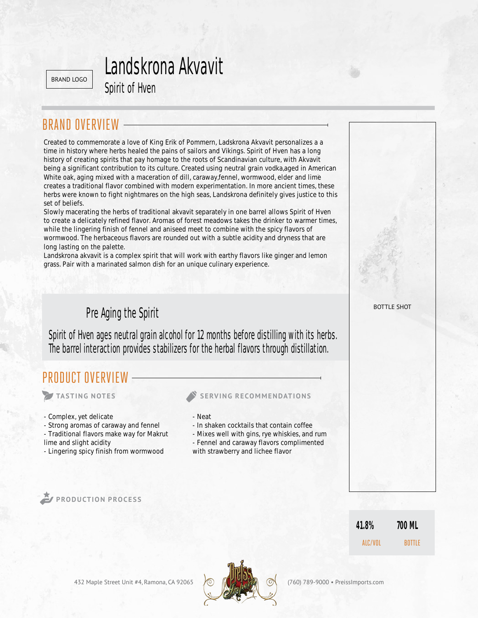BRAND LOGO

## Landskrona Akvavit

## BRAND OVERVIEW

Spirit of Hven<br>
FRVIEW<br>
International a love of Kin<br>
Internation and the Spirits that pay hom<br>
Internation and the Spirit and Tay of Commission<br>
Internal flavor combined v<br>
Internation of Find Tay of Commission<br>
Internatio Created to commemorate a love of King Erik of Pommern, Ladskrona Akvavit personalizes a a time in history where herbs healed the pains of sailors and Vikings. Spirit of Hven has a long history of creating spirits that pay homage to the roots of Scandinavian culture, with Akvavit being a significant contribution to its culture. Created using neutral grain vodka, aged in American White oak, aging mixed with a maceration of dill, caraway,fennel, wormwood, elder and lime creates a traditional flavor combined with modern experimentation. In more ancient times, these herbs were known to fight nightmares on the high seas, Landskrona definitely gives justice to this set of beliefs.

Slowly macerating the herbs of traditional akvavit separately in one barrel allows Spirit of Hven to create a delicately refined flavor. Aromas of forest meadows takes the drinker to warmer times, while the lingering finish of fennel and aniseed meet to combine with the spicy flavors of wormwood. The herbaceous flavors are rounded out with a subtle acidity and dryness that are long lasting on the palette.

Landskrona akvavit is a complex spirit that will work with earthy flavors like ginger and lemon grass. Pair with a marinated salmon dish for an unique culinary experience.

Spirit of Hven ages neutral grain alcohol for 12 months before distilling with its herbs. The barrel interaction provides stabilizers for the herbal flavors through distillation.

### PRODUCT OVERVIEW

- Complex, yet delicate
- Strong aromas of caraway and fennel
- Traditional flavors make way for Makrut
- lime and slight acidity
- Lingering spicy finish from wormwood

### **TASTING NOTES SERVING RECOMMENDATIONS**

- Neat
- In shaken cocktails that contain coffee
- Mixes well with gins, rye whiskies, and rum
- Fennel and caraway flavors complimented
- with strawberry and lichee flavor

**PRODUCTION PROCESS**

BOTTLE SHOT